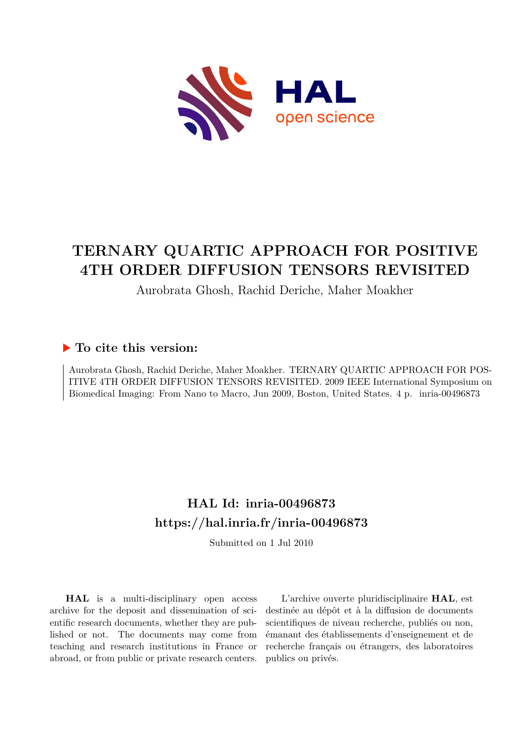

# **TERNARY QUARTIC APPROACH FOR POSITIVE 4TH ORDER DIFFUSION TENSORS REVISITED**

#### Aurobrata Ghosh, Rachid Deriche, Maher Moakher

#### **To cite this version:**

Aurobrata Ghosh, Rachid Deriche, Maher Moakher. TERNARY QUARTIC APPROACH FOR POS-ITIVE 4TH ORDER DIFFUSION TENSORS REVISITED. 2009 IEEE International Symposium on Biomedical Imaging: From Nano to Macro, Jun 2009, Boston, United States. 4 p. inria-00496873

# **HAL Id: inria-00496873 <https://hal.inria.fr/inria-00496873>**

Submitted on 1 Jul 2010

**HAL** is a multi-disciplinary open access archive for the deposit and dissemination of scientific research documents, whether they are published or not. The documents may come from teaching and research institutions in France or abroad, or from public or private research centers.

L'archive ouverte pluridisciplinaire **HAL**, est destinée au dépôt et à la diffusion de documents scientifiques de niveau recherche, publiés ou non, émanant des établissements d'enseignement et de recherche français ou étrangers, des laboratoires publics ou privés.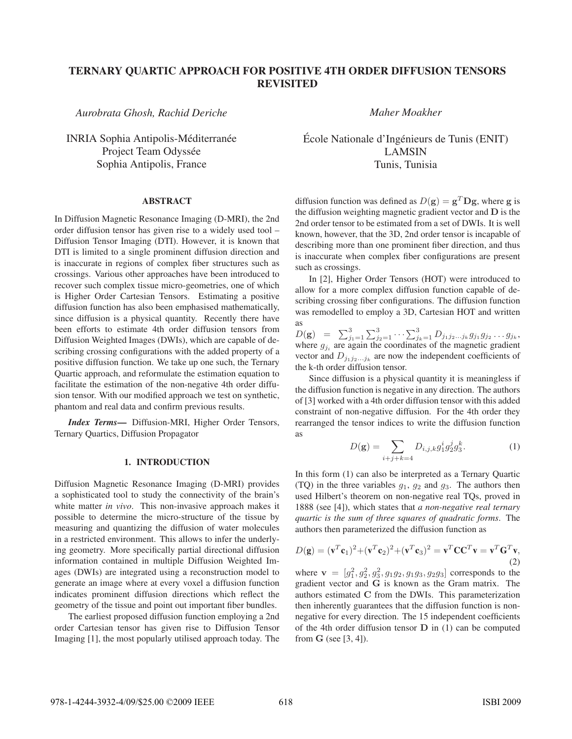## TERNARY QUARTIC APPROACH FOR POSITIVE 4TH ORDER DIFFUSION TENSORS REVISITED

*Aurobrata Ghosh, Rachid Deriche*

INRIA Sophia Antipolis-Méditerranée Project Team Odyssée Sophia Antipolis, France

## ABSTRACT

In Diffusion Magnetic Resonance Imaging (D-MRI), the 2nd order diffusion tensor has given rise to a widely used tool – Diffusion Tensor Imaging (DTI). However, it is known that DTI is limited to a single prominent diffusion direction and is inaccurate in regions of complex fiber structures such as crossings. Various other approaches have been introduced to recover such complex tissue micro-geometries, one of which is Higher Order Cartesian Tensors. Estimating a positive diffusion function has also been emphasised mathematically, since diffusion is a physical quantity. Recently there have been efforts to estimate 4th order diffusion tensors from Diffusion Weighted Images (DWIs), which are capable of describing crossing configurations with the added property of a positive diffusion function. We take up one such, the Ternary Quartic approach, and reformulate the estimation equation to facilitate the estimation of the non-negative 4th order diffusion tensor. With our modified approach we test on synthetic, phantom and real data and confirm previous results.

*Index Terms*— Diffusion-MRI, Higher Order Tensors, Ternary Quartics, Diffusion Propagator

## 1. INTRODUCTION

Diffusion Magnetic Resonance Imaging (D-MRI) provides a sophisticated tool to study the connectivity of the brain's white matter *in vivo*. This non-invasive approach makes it possible to determine the micro-structure of the tissue by measuring and quantizing the diffusion of water molecules in a restricted environment. This allows to infer the underlying geometry. More specifically partial directional diffusion information contained in multiple Diffusion Weighted Images (DWIs) are integrated using a reconstruction model to generate an image where at every voxel a diffusion function indicates prominent diffusion directions which reflect the geometry of the tissue and point out important fiber bundles.

The earliest proposed diffusion function employing a 2nd order Cartesian tensor has given rise to Diffusion Tensor Imaging [1], the most popularly utilised approach today. The *Maher Moakher*

École Nationale d'Ingénieurs de Tunis (ENIT) LAMSIN Tunis, Tunisia

diffusion function was defined as  $D(\mathbf{g}) = \mathbf{g}^T \mathbf{D} \mathbf{g}$ , where **g** is the diffusion weighting magnetic gradient vector and **D** is the 2nd order tensor to be estimated from a set of DWIs. It is well known, however, that the 3D, 2nd order tensor is incapable of describing more than one prominent fiber direction, and thus is inaccurate when complex fiber configurations are present such as crossings.

In [2], Higher Order Tensors (HOT) were introduced to allow for a more complex diffusion function capable of describing crossing fiber configurations. The diffusion function was remodelled to employ a 3D, Cartesian HOT and written as

 $D(\mathbf{g}) = \sum_{j_1=1}^3 \sum_{j_2=1}^3 \cdots \sum_{j_k=1}^3 D_{j_1j_2...j_k} g_{j_1} g_{j_2} \cdots g_{j_k}$ ,<br>where a gradinate coordinates of the magnetic gradient where  $g_{j_i}$  are again the coordinates of the magnetic gradient vector and  $D_{j_1j_2...j_k}$  are now the independent coefficients of the k-th order diffusion tensor.

Since diffusion is a physical quantity it is meaningless if the diffusion function is negative in any direction. The authors of [3] worked with a 4th order diffusion tensor with this added constraint of non-negative diffusion. For the 4th order they rearranged the tensor indices to write the diffusion function as

$$
D(\mathbf{g}) = \sum_{i+j+k=4} D_{i,j,k} g_1^i g_2^j g_3^k.
$$
 (1)

In this form (1) can also be interpreted as a Ternary Quartic (TQ) in the three variables  $g_1$ ,  $g_2$  and  $g_3$ . The authors then used Hilbert's theorem on non-negative real TQs, proved in 1888 (see [4]), which states that *a non-negative real ternary quartic is the sum of three squares of quadratic forms*. The authors then parameterized the diffusion function as

$$
D(\mathbf{g}) = (\mathbf{v}^T \mathbf{c}_1)^2 + (\mathbf{v}^T \mathbf{c}_2)^2 + (\mathbf{v}^T \mathbf{c}_3)^2 = \mathbf{v}^T \mathbf{C} \mathbf{C}^T \mathbf{v} = \mathbf{v}^T \mathbf{G}^T \mathbf{v},
$$
\n(2)

where  $\mathbf{v} = [g_1^2, g_2^2, g_3^2, g_1 g_2, g_1 g_3, g_2 g_3]$  corresponds to the gradient vector and **G** is known as the Gram matrix. The gradient vector and **G** is known as the Gram matrix. The authors estimated **C** from the DWIs. This parameterization then inherently guarantees that the diffusion function is nonnegative for every direction. The 15 independent coefficients of the 4th order diffusion tensor **D** in (1) can be computed from **G** (see [3, 4]).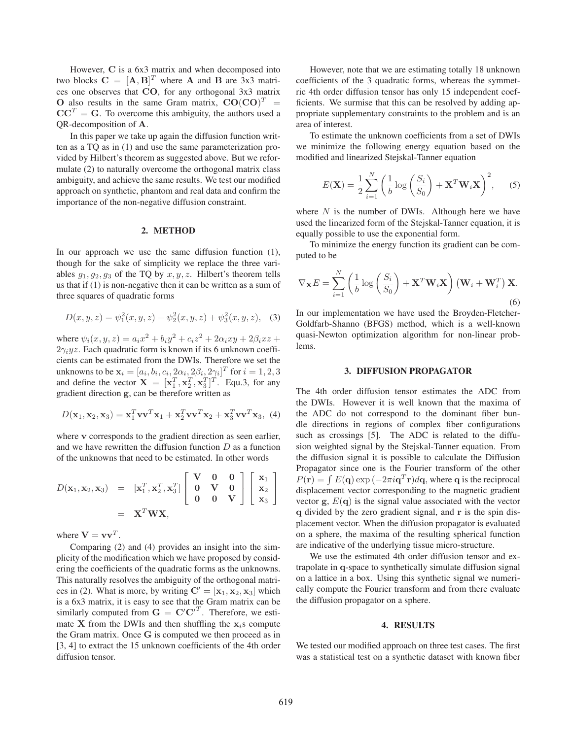However, **C** is a 6x3 matrix and when decomposed into two blocks  $\mathbf{C} = [\mathbf{A}, \mathbf{B}]^T$  where **A** and **B** are 3x3 matrices one observes that  $\mathbf{CO}$  for any orthogonal 3x3 matrix ces one observes that **CO**, for any orthogonal 3x3 matrix **O** also results in the same Gram matrix,  $CO(CO)^{T}$  =  $CC<sup>T</sup> = G$ . To overcome this ambiguity, the authors used a QR-decomposition of **A**.

In this paper we take up again the diffusion function written as a TQ as in (1) and use the same parameterization provided by Hilbert's theorem as suggested above. But we reformulate (2) to naturally overcome the orthogonal matrix class ambiguity, and achieve the same results. We test our modified approach on synthetic, phantom and real data and confirm the importance of the non-negative diffusion constraint.

## 2. METHOD

In our approach we use the same diffusion function (1), though for the sake of simplicity we replace the three variables  $g_1, g_2, g_3$  of the TQ by  $x, y, z$ . Hilbert's theorem tells us that if (1) is non-negative then it can be written as a sum of three squares of quadratic forms

$$
D(x, y, z) = \psi_1^2(x, y, z) + \psi_2^2(x, y, z) + \psi_3^2(x, y, z), \quad (3)
$$

where  $\psi_i(x, y, z) = a_i x^2 + b_i y^2 + c_i z^2 + 2 \alpha_i xy + 2 \beta_i x z +$  $2\gamma_i yz$ . Each quadratic form is known if its 6 unknown coefficients can be estimated from the DWIs. Therefore we set the unknowns to be  $\mathbf{x}_i = [a_i, b_i, c_i, 2\alpha_i, 2\beta_i, 2\gamma_i]^T$  for  $i = 1, 2, 3$ <br>and define the vector  $\mathbf{X} = [\mathbf{x}^T \ \mathbf{x}^T \ \mathbf{x}^T]^T$ . Four 3, for any and define the vector  $\mathbf{X} = [\mathbf{x}_1^T, \mathbf{x}_2^T, \mathbf{x}_3^T]^T$ . Equ.3, for any gradient direction  $\alpha$ , can be therefore written as and define the vector  $\mathbf{X} = [\mathbf{x}_1, \mathbf{x}_2, \mathbf{x}_3]$ . E gradient direction **g**, can be therefore written as

$$
D(\mathbf{x}_1, \mathbf{x}_2, \mathbf{x}_3) = \mathbf{x}_1^T \mathbf{v} \mathbf{v}^T \mathbf{x}_1 + \mathbf{x}_2^T \mathbf{v} \mathbf{v}^T \mathbf{x}_2 + \mathbf{x}_3^T \mathbf{v} \mathbf{v}^T \mathbf{x}_3, \tag{4}
$$

where **v** corresponds to the gradient direction as seen earlier, and we have rewritten the diffusion function  $D$  as a function of the unknowns that need to be estimated. In other words

$$
D(\mathbf{x}_1, \mathbf{x}_2, \mathbf{x}_3) = [\mathbf{x}_1^T, \mathbf{x}_2^T, \mathbf{x}_3^T] \begin{bmatrix} \mathbf{V} & \mathbf{0} & \mathbf{0} \\ \mathbf{0} & \mathbf{V} & \mathbf{0} \\ \mathbf{0} & \mathbf{0} & \mathbf{V} \end{bmatrix} \begin{bmatrix} \mathbf{x}_1 \\ \mathbf{x}_2 \\ \mathbf{x}_3 \end{bmatrix}
$$
  
=  $\mathbf{X}^T \mathbf{W} \mathbf{X},$ 

where  $V = v v^T$ .

Comparing (2) and (4) provides an insight into the simplicity of the modification which we have proposed by considering the coefficients of the quadratic forms as the unknowns. This naturally resolves the ambiguity of the orthogonal matrices in (2). What is more, by writing  $\mathbf{C}' = [\mathbf{x}_1, \mathbf{x}_2, \mathbf{x}_3]$  which<br>is a 6x3 matrix, it is easy to see that the Gram matrix can be is a 6x3 matrix, it is easy to see that the Gram matrix can be similarly computed from  $G = C'C'^T$ . Therefore, we esti-<br>mate **X** from the DWIs and then shuffling the **x** s compute mate **X** from the DWIs and then shuffling the  $\mathbf{x}_i$ s compute the Gram matrix. Once **G** is computed we then proceed as in [3, 4] to extract the 15 unknown coefficients of the 4th order diffusion tensor.

However, note that we are estimating totally 18 unknown coefficients of the 3 quadratic forms, whereas the symmetric 4th order diffusion tensor has only 15 independent coefficients. We surmise that this can be resolved by adding appropriate supplementary constraints to the problem and is an area of interest.

To estimate the unknown coefficients from a set of DWIs we minimize the following energy equation based on the modified and linearized Stejskal-Tanner equation

$$
E(\mathbf{X}) = \frac{1}{2} \sum_{i=1}^{N} \left( \frac{1}{b} \log \left( \frac{S_i}{S_0} \right) + \mathbf{X}^T \mathbf{W}_i \mathbf{X} \right)^2, \quad (5)
$$

where  $N$  is the number of DWIs. Although here we have used the linearized form of the Stejskal-Tanner equation, it is equally possible to use the exponential form.

To minimize the energy function its gradient can be computed to be

$$
\nabla_{\mathbf{X}} E = \sum_{i=1}^{N} \left( \frac{1}{b} \log \left( \frac{S_i}{S_0} \right) + \mathbf{X}^T \mathbf{W}_i \mathbf{X} \right) \left( \mathbf{W}_i + \mathbf{W}_i^T \right) \mathbf{X}.
$$
\n(6)

In our implementation we have used the Broyden-Fletcher-Goldfarb-Shanno (BFGS) method, which is a well-known quasi-Newton optimization algorithm for non-linear problems.

#### 3. DIFFUSION PROPAGATOR

The 4th order diffusion tensor estimates the ADC from the DWIs. However it is well known that the maxima of the ADC do not correspond to the dominant fiber bundle directions in regions of complex fiber configurations such as crossings [5]. The ADC is related to the diffusion weighted signal by the Stejskal-Tanner equation. From the diffusion signal it is possible to calculate the Diffusion Propagator since one is the Fourier transform of the other  $P(\mathbf{r}) = \int E(\mathbf{q}) \exp(-2\pi i \mathbf{q}^T \mathbf{r}) d\mathbf{q}$ , where q is the reciprocal displacement vector corresponding to the magnetic gradient vector **g**,  $E(\mathbf{q})$  is the signal value associated with the vector **q** divided by the zero gradient signal, and **r** is the spin displacement vector. When the diffusion propagator is evaluated on a sphere, the maxima of the resulting spherical function are indicative of the underlying tissue micro-structure.

We use the estimated 4th order diffusion tensor and extrapolate in **q**-space to synthetically simulate diffusion signal on a lattice in a box. Using this synthetic signal we numerically compute the Fourier transform and from there evaluate the diffusion propagator on a sphere.

#### $\overline{a}$  and  $\overline{a}$  and  $\overline{a}$

We tested our modified approach on three test cases. The first was a statistical test on a synthetic dataset with known fiber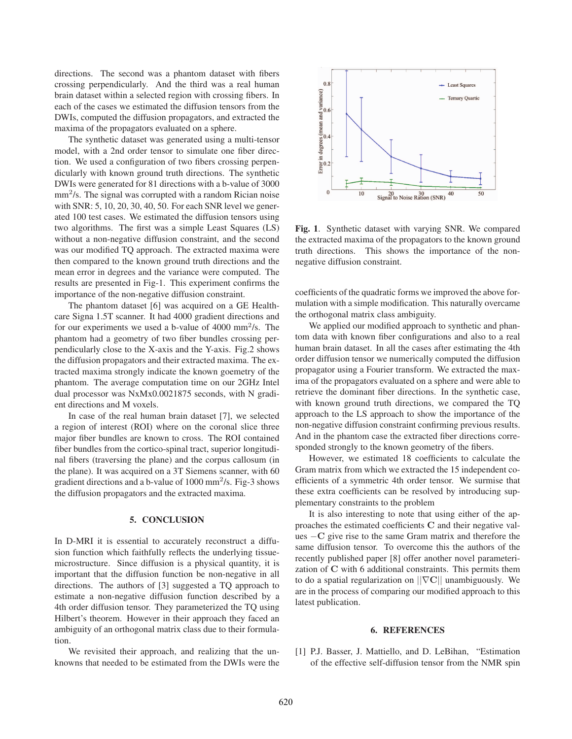directions. The second was a phantom dataset with fibers crossing perpendicularly. And the third was a real human brain dataset within a selected region with crossing fibers. In each of the cases we estimated the diffusion tensors from the DWIs, computed the diffusion propagators, and extracted the maxima of the propagators evaluated on a sphere.

The synthetic dataset was generated using a multi-tensor model, with a 2nd order tensor to simulate one fiber direction. We used a configuration of two fibers crossing perpendicularly with known ground truth directions. The synthetic DWIs were generated for 81 directions with a b-value of 3000  $mm<sup>2</sup>/s$ . The signal was corrupted with a random Rician noise with SNR: 5, 10, 20, 30, 40, 50. For each SNR level we generated 100 test cases. We estimated the diffusion tensors using two algorithms. The first was a simple Least Squares (LS) without a non-negative diffusion constraint, and the second was our modified TQ approach. The extracted maxima were then compared to the known ground truth directions and the mean error in degrees and the variance were computed. The results are presented in Fig-1. This experiment confirms the importance of the non-negative diffusion constraint.

The phantom dataset [6] was acquired on a GE Healthcare Signa 1.5T scanner. It had 4000 gradient directions and for our experiments we used a b-value of  $4000 \text{ mm}^2/\text{s}$ . The phantom had a geometry of two fiber bundles crossing perpendicularly close to the X-axis and the Y-axis. Fig.2 shows the diffusion propagators and their extracted maxima. The extracted maxima strongly indicate the known goemetry of the phantom. The average computation time on our 2GHz Intel dual processor was NxMx0.0021875 seconds, with N gradient directions and M voxels.

In case of the real human brain dataset [7], we selected a region of interest (ROI) where on the coronal slice three major fiber bundles are known to cross. The ROI contained fiber bundles from the cortico-spinal tract, superior longitudinal fibers (traversing the plane) and the corpus callosum (in the plane). It was acquired on a 3T Siemens scanner, with 60 gradient directions and a b-value of  $1000 \text{ mm}^2$ /s. Fig-3 shows the diffusion propagators and the extracted maxima.

#### 5. CONCLUSION

In D-MRI it is essential to accurately reconstruct a diffusion function which faithfully reflects the underlying tissuemicrostructure. Since diffusion is a physical quantity, it is important that the diffusion function be non-negative in all directions. The authors of [3] suggested a TQ approach to estimate a non-negative diffusion function described by a 4th order diffusion tensor. They parameterized the TQ using Hilbert's theorem. However in their approach they faced an ambiguity of an orthogonal matrix class due to their formulation.

We revisited their approach, and realizing that the unknowns that needed to be estimated from the DWIs were the



Fig. 1. Synthetic dataset with varying SNR. We compared the extracted maxima of the propagators to the known ground truth directions. This shows the importance of the nonnegative diffusion constraint.

coefficients of the quadratic forms we improved the above formulation with a simple modification. This naturally overcame the orthogonal matrix class ambiguity.

We applied our modified approach to synthetic and phantom data with known fiber configurations and also to a real human brain dataset. In all the cases after estimating the 4th order diffusion tensor we numerically computed the diffusion propagator using a Fourier transform. We extracted the maxima of the propagators evaluated on a sphere and were able to retrieve the dominant fiber directions. In the synthetic case, with known ground truth directions, we compared the TQ approach to the LS approach to show the importance of the non-negative diffusion constraint confirming previous results. And in the phantom case the extracted fiber directions corresponded strongly to the known geometry of the fibers.

However, we estimated 18 coefficients to calculate the Gram matrix from which we extracted the 15 independent coefficients of a symmetric 4th order tensor. We surmise that these extra coefficients can be resolved by introducing supplementary constraints to the problem

It is also interesting to note that using either of the approaches the estimated coefficients **C** and their negative values <sup>−</sup>**C** give rise to the same Gram matrix and therefore the same diffusion tensor. To overcome this the authors of the recently published paper [8] offer another novel parameterization of **C** with 6 additional constraints. This permits them to do a spatial regularization on ||∇**C**|| unambiguously. We are in the process of comparing our modified approach to this latest publication.

## 6. REFERENCES

[1] P.J. Basser, J. Mattiello, and D. LeBihan, "Estimation of the effective self-diffusion tensor from the NMR spin